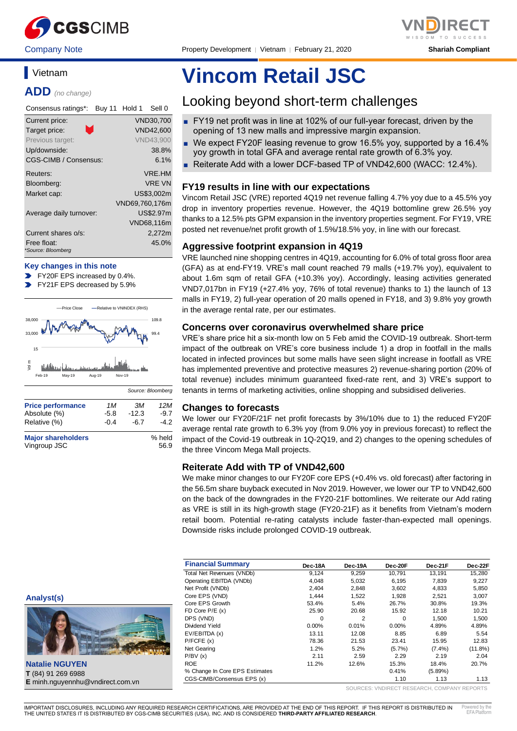

Company Note Property Development │ Vietnam │ February 21, 2020 **Shariah Compliant**

# **Vietnam**

**ADD** *(no change)*

| Consensus ratings*:               | Hold 1<br>Sell 0<br><b>Buy 11</b> |
|-----------------------------------|-----------------------------------|
| Current price:                    | VND30.700                         |
| m,<br>Target price:               | <b>VND42,600</b>                  |
| Previous target:                  | <b>VND43.900</b>                  |
| Up/downside:                      | 38.8%                             |
| CGS-CIMB / Consensus:             | 6.1%                              |
| Reuters:                          | <b>VRF.HM</b>                     |
| Bloomberg:                        | <b>VRF VN</b>                     |
| Market cap:                       | US\$3.002m                        |
|                                   | VND69,760,176m                    |
| Average daily turnover:           | US\$2.97m                         |
|                                   | VND68,116m                        |
| Current shares o/s:               | 2,272m                            |
| Free float:<br>*Source: Bloomberg | 45.0%                             |
|                                   |                                   |

#### **Key changes in this note**

- FY20F EPS increased by 0.4%.
- FY21F EPS decreased by 5.9%



| <b>Major shareholders</b> | % held |
|---------------------------|--------|
| Vingroup JSC              | 56.9   |

Relative (%) -0.4 -6.7 -4.2

#### **Analyst(s)**



**Natalie NGUYEN T** (84) 91 269 6988 **E** minh.nguyennhu@vndirect.com.vn

# **Vincom Retail JSC**

# Looking beyond short-term challenges

- FY19 net profit was in line at 102% of our full-year forecast, driven by the opening of 13 new malls and impressive margin expansion.
- We expect FY20F leasing revenue to grow 16.5% yoy, supported by a 16.4% yoy growth in total GFA and average rental rate growth of 6.3% yoy.
- Reiterate Add with a lower DCF-based TP of VND42,600 (WACC: 12.4%).

#### **FY19 results in line with our expectations**

Vincom Retail JSC (VRE) reported 4Q19 net revenue falling 4.7% yoy due to a 45.5% yoy drop in inventory properties revenue. However, the 4Q19 bottomline grew 26.5% yoy thanks to a 12.5% pts GPM expansion in the inventory properties segment. For FY19, VRE posted net revenue/net profit growth of 1.5%/18.5% yoy, in line with our forecast.

#### **Aggressive footprint expansion in 4Q19**

VRE launched nine shopping centres in 4Q19, accounting for 6.0% of total gross floor area (GFA) as at end-FY19. VRE's mall count reached 79 malls (+19.7% yoy), equivalent to about 1.6m sqm of retail GFA (+10.3% yoy). Accordingly, leasing activities generated VND7,017bn in FY19 (+27.4% yoy, 76% of total revenue) thanks to 1) the launch of 13 malls in FY19, 2) full-year operation of 20 malls opened in FY18, and 3) 9.8% yoy growth in the average rental rate, per our estimates.

#### **Concerns over coronavirus overwhelmed share price**

VRE's share price hit a six-month low on 5 Feb amid the COVID-19 outbreak. Short-term impact of the outbreak on VRE's core business include 1) a drop in footfall in the malls located in infected provinces but some malls have seen slight increase in footfall as VRE has implemented preventive and protective measures 2) revenue-sharing portion (20% of total revenue) includes minimum guaranteed fixed-rate rent, and 3) VRE's support to tenants in terms of marketing activities, online shopping and subsidised deliveries.

#### **Changes to forecasts**

We lower our FY20F/21F net profit forecasts by 3%/10% due to 1) the reduced FY20F average rental rate growth to 6.3% yoy (from 9.0% yoy in previous forecast) to reflect the impact of the Covid-19 outbreak in 1Q-2Q19, and 2) changes to the opening schedules of the three Vincom Mega Mall projects.

#### **Reiterate Add with TP of VND42,600**

We make minor changes to our FY20F core EPS (+0.4% vs. old forecast) after factoring in the 56.5m share buyback executed in Nov 2019. However, we lower our TP to VND42,600 on the back of the downgrades in the FY20-21F bottomlines. We reiterate our Add rating as VRE is still in its high-growth stage (FY20-21F) as it benefits from Vietnam's modern retail boom. Potential re-rating catalysts include faster-than-expected mall openings. Downside risks include prolonged COVID-19 outbreak.

| <b>Financial Summary</b>       | Dec-18A  | Dec-19A | Dec-20F  | Dec-21F    | Dec-22F    |
|--------------------------------|----------|---------|----------|------------|------------|
| Total Net Revenues (VNDb)      | 9,124    | 9,259   | 10.791   | 13,191     | 15,280     |
| Operating EBITDA (VNDb)        | 4,048    | 5,032   | 6,195    | 7.839      | 9,227      |
| Net Profit (VNDb)              | 2.404    | 2.848   | 3.602    | 4,833      | 5,850      |
| Core EPS (VND)                 | 1.444    | 1,522   | 1,928    | 2,521      | 3,007      |
| Core EPS Growth                | 53.4%    | 5.4%    | 26.7%    | 30.8%      | 19.3%      |
| FD Core $P/E(x)$               | 25.90    | 20.68   | 15.92    | 12.18      | 10.21      |
| DPS (VND)                      | $\Omega$ | 2       | $\Omega$ | 1.500      | 1.500      |
| Dividend Yield                 | $0.00\%$ | 0.01%   | $0.00\%$ | 4.89%      | 4.89%      |
| EV/EBITDA (x)                  | 13.11    | 12.08   | 8.85     | 6.89       | 5.54       |
| P/FCFE(x)                      | 78.36    | 21.53   | 23.41    | 15.95      | 12.83      |
| Net Gearing                    | 1.2%     | 5.2%    | (5.7%)   | $(7.4\%)$  | $(11.8\%)$ |
| P/BV(x)                        | 2.11     | 2.59    | 2.29     | 2.19       | 2.04       |
| <b>ROE</b>                     | 11.2%    | 12.6%   | 15.3%    | 18.4%      | 20.7%      |
| % Change In Core EPS Estimates |          |         | 0.41%    | $(5.89\%)$ |            |
| CGS-CIMB/Consensus EPS (x)     |          |         | 1.10     | 1.13       | 1.13       |

SOURCES: VNDIRECT RESEARCH, COMPANY REPORTS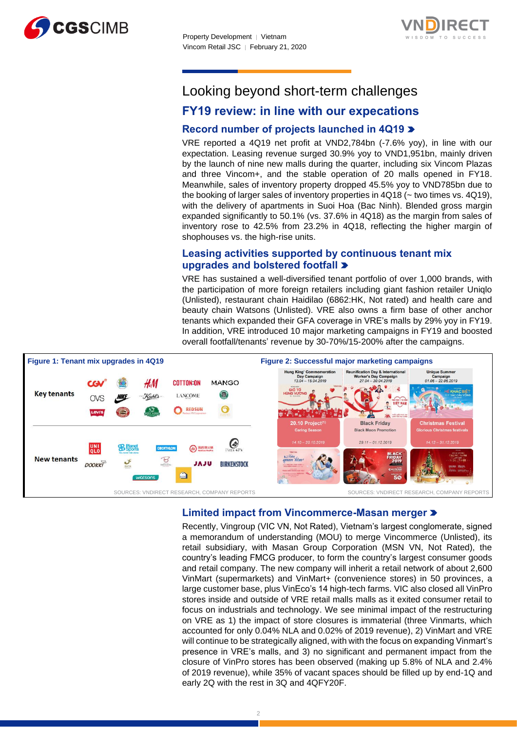



# Looking beyond short-term challenges

# **FY19 review: in line with our expecations**

## **Record number of projects launched in 4Q19**

VRE reported a 4Q19 net profit at VND2,784bn (-7.6% yoy), in line with our expectation. Leasing revenue surged 30.9% yoy to VND1,951bn, mainly driven by the launch of nine new malls during the quarter, including six Vincom Plazas and three Vincom+, and the stable operation of 20 malls opened in FY18. Meanwhile, sales of inventory property dropped 45.5% yoy to VND785bn due to the booking of larger sales of inventory properties in  $4Q18$  ( $\sim$  two times vs.  $4Q19$ ), with the delivery of apartments in Suoi Hoa (Bac Ninh). Blended gross margin expanded significantly to 50.1% (vs. 37.6% in 4Q18) as the margin from sales of inventory rose to 42.5% from 23.2% in 4Q18, reflecting the higher margin of shophouses vs. the high-rise units.

## **Leasing activities supported by continuous tenant mix upgrades and bolstered footfall**

VRE has sustained a well-diversified tenant portfolio of over 1,000 brands, with the participation of more foreign retailers including giant fashion retailer Uniqlo (Unlisted), restaurant chain Haidilao (6862:HK, Not rated) and health care and beauty chain Watsons (Unlisted). VRE also owns a firm base of other anchor tenants which expanded their GFA coverage in VRE's malls by 29% yoy in FY19. In addition, VRE introduced 10 major marketing campaigns in FY19 and boosted overall footfall/tenants' revenue by 30-70%/15-200% after the campaigns.



## **Limited impact from Vincommerce-Masan merger**

Recently, Vingroup (VIC VN, Not Rated), Vietnam's largest conglomerate, signed a memorandum of understanding (MOU) to merge Vincommerce (Unlisted), its retail subsidiary, with Masan Group Corporation (MSN VN, Not Rated), the country's leading FMCG producer, to form the country's largest consumer goods and retail company. The new company will inherit a retail network of about 2,600 VinMart (supermarkets) and VinMart+ (convenience stores) in 50 provinces, a large customer base, plus VinEco's 14 high-tech farms. VIC also closed all VinPro stores inside and outside of VRE retail malls malls as it exited consumer retail to focus on industrials and technology. We see minimal impact of the restructuring on VRE as 1) the impact of store closures is immaterial (three Vinmarts, which accounted for only 0.04% NLA and 0.02% of 2019 revenue), 2) VinMart and VRE will continue to be strategically aligned, with with the focus on expanding Vinmart's presence in VRE's malls, and 3) no significant and permanent impact from the closure of VinPro stores has been observed (making up 5.8% of NLA and 2.4% of 2019 revenue), while 35% of vacant spaces should be filled up by end-1Q and early 2Q with the rest in 3Q and 4QFY20F.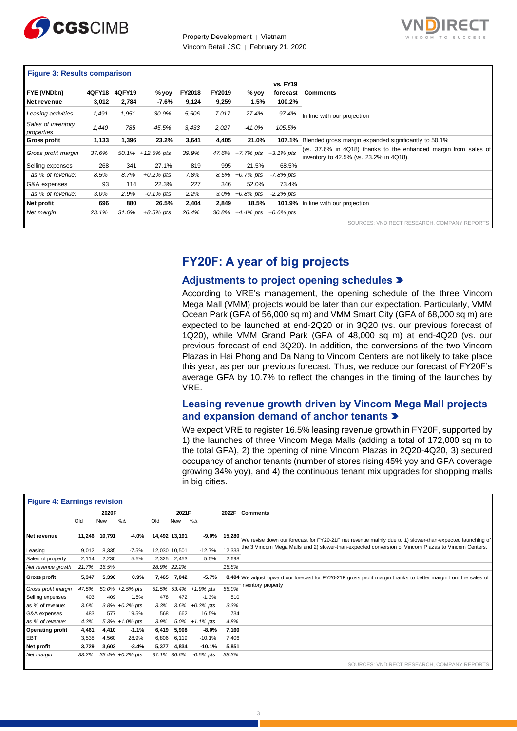



#### **Figure 3: Results comparison**

| FYE (VNDbn)                      | <b>4QFY18</b> | <b>4QFY19</b> |                       | <b>FY2018</b> | FY2019  |                           | <b>vs. FY19</b><br>forecast | <b>Comments</b>                                                                                            |
|----------------------------------|---------------|---------------|-----------------------|---------------|---------|---------------------------|-----------------------------|------------------------------------------------------------------------------------------------------------|
|                                  |               |               | % yoy                 |               |         | % yoy                     |                             |                                                                                                            |
| Net revenue                      | 3,012         | 2,784         | -7.6%                 | 9,124         | 9,259   | 1.5%                      | 100.2%                      |                                                                                                            |
| Leasing activities               | 1,491         | 1,951         | 30.9%                 | 5,506         | 7,017   | 27.4%                     | 97.4%                       | In line with our projection                                                                                |
| Sales of inventory<br>properties | 1,440         | 785           | $-45.5%$              | 3,433         | 2,027   | -41.0%                    | 105.5%                      |                                                                                                            |
| <b>Gross profit</b>              | 1,133         | 1,396         | 23.2%                 | 3,641         | 4,405   | 21.0%                     | 107.1%                      | Blended gross margin expanded significantly to 50.1%                                                       |
| Gross profit margin              | 37.6%         |               | $50.1\% + 12.5\%$ pts | 39.9%         |         | 47.6% +7.7% pts +3.1% pts |                             | (vs. 37.6% in 4Q18) thanks to the enhanced margin from sales of<br>inventory to 42.5% (vs. 23.2% in 4Q18). |
| Selling expenses                 | 268           | 341           | 27.1%                 | 819           | 995     | 21.5%                     | 68.5%                       |                                                                                                            |
| as % of revenue:                 | 8.5%          | 8.7%          | $+0.2\%$ pts          | 7.8%          |         | $8.5\% + 0.7\%$ pts       | -7.8% pts                   |                                                                                                            |
| G&A expenses                     | 93            | 114           | 22.3%                 | 227           | 346     | 52.0%                     | 73.4%                       |                                                                                                            |
| as % of revenue:                 | 3.0%          | 2.9%          | $-0.1\%$ pts          | 2.2%          | $3.0\%$ | $+0.8\%$ pts              | $-2.2\%$ pts                |                                                                                                            |
| Net profit                       | 696           | 880           | 26.5%                 | 2,404         | 2,849   | 18.5%                     |                             | 101.9% In line with our projection                                                                         |
| Net margin                       | 23.1%         | 31.6%         | $+8.5\%$ pts          | 26.4%         | 30.8%   | $+4.4\%$ pts $+0.6\%$ pts |                             |                                                                                                            |
|                                  |               |               |                       |               |         |                           |                             | SOURCES: VNDIRECT RESEARCH, COMPANY REPORTS                                                                |

# **FY20F: A year of big projects**

#### **Adjustments to project opening schedules**

According to VRE's management, the opening schedule of the three Vincom Mega Mall (VMM) projects would be later than our expectation. Particularly, VMM Ocean Park (GFA of 56,000 sq m) and VMM Smart City (GFA of 68,000 sq m) are expected to be launched at end-2Q20 or in 3Q20 (vs. our previous forecast of 1Q20), while VMM Grand Park (GFA of 48,000 sq m) at end-4Q20 (vs. our previous forecast of end-3Q20). In addition, the conversions of the two Vincom Plazas in Hai Phong and Da Nang to Vincom Centers are not likely to take place this year, as per our previous forecast. Thus, we reduce our forecast of FY20F's average GFA by 10.7% to reflect the changes in the timing of the launches by VRE.

## **Leasing revenue growth driven by Vincom Mega Mall projects and expansion demand of anchor tenants**

We expect VRE to register 16.5% leasing revenue growth in FY20F, supported by 1) the launches of three Vincom Mega Malls (adding a total of 172,000 sq m to the total GFA), 2) the opening of nine Vincom Plazas in 2Q20-4Q20, 3) secured occupancy of anchor tenants (number of stores rising 45% yoy and GFA coverage growing 34% yoy), and 4) the continuous tenant mix upgrades for shopping malls in big cities.

|                                    | growing 5476 yoy), and 4) the commutations tenant mix upgrades for shopping mails<br>in big cities. |               |                     |       |               |                       |        |                                                                                                                |  |  |  |  |  |
|------------------------------------|-----------------------------------------------------------------------------------------------------|---------------|---------------------|-------|---------------|-----------------------|--------|----------------------------------------------------------------------------------------------------------------|--|--|--|--|--|
| <b>Figure 4: Earnings revision</b> |                                                                                                     |               |                     |       |               |                       |        |                                                                                                                |  |  |  |  |  |
|                                    |                                                                                                     | 2020F         |                     | 2021F |               |                       | 2022F  | <b>Comments</b>                                                                                                |  |  |  |  |  |
|                                    | Old                                                                                                 | New           | $% \Delta$          | Old   | New           | $% \Delta$            |        |                                                                                                                |  |  |  |  |  |
| Net revenue                        |                                                                                                     | 11,246 10,791 | $-4.0%$             |       | 14,492 13,191 | $-9.0\%$              | 15,280 | We revise down our forecast for FY20-21F net revenue mainly due to 1) slower-than-expected launching of        |  |  |  |  |  |
| Leasing                            | 9,012                                                                                               | 8,335         | $-7.5%$             |       | 12,030 10,501 | $-12.7%$              | 12,333 | the 3 Vincom Mega Malls and 2) slower-than-expected conversion of Vincom Plazas to Vincom Centers.             |  |  |  |  |  |
| Sales of property                  | 2,114                                                                                               | 2,230         | 5.5%                |       | 2,325 2,453   | 5.5%                  | 2,698  |                                                                                                                |  |  |  |  |  |
| Net revenue growth                 | 21.7%                                                                                               | 16.5%         |                     |       | 28.9% 22.2%   |                       | 15.8%  |                                                                                                                |  |  |  |  |  |
| <b>Gross profit</b>                | 5,347                                                                                               | 5,396         | 0.9%                | 7,465 | 7,042         | $-5.7%$               |        | 8,404 We adjust upward our forecast for FY20-21F gross profit margin thanks to better margin from the sales of |  |  |  |  |  |
| Gross profit margin                | 47.5%                                                                                               |               | 50.0% +2.5% pts     |       |               | 51.5% 53.4% +1.9% pts | 55.0%  | inventory property                                                                                             |  |  |  |  |  |
| Selling expenses                   | 403                                                                                                 | 409           | 1.5%                | 478   | 472           | $-1.3%$               | 510    |                                                                                                                |  |  |  |  |  |
| as % of revenue:                   | 3.6%                                                                                                |               | $3.8\% +0.2\%$ pts  | 3.3%  |               | $3.6\% + 0.3\%$ pts   | 3.3%   |                                                                                                                |  |  |  |  |  |
| G&A expenses                       | 483                                                                                                 | 577           | 19.5%               | 568   | 662           | 16.5%                 | 734    |                                                                                                                |  |  |  |  |  |
| as % of revenue:                   | 4.3%                                                                                                |               | $5.3\% + 1.0\%$ pts | 3.9%  | 5.0%          | $+1.1\%$ pts          | 4.8%   |                                                                                                                |  |  |  |  |  |
| <b>Operating profit</b>            | 4,461                                                                                               | 4,410         | $-1.1%$             | 6,419 | 5,908         | $-8.0%$               | 7,160  |                                                                                                                |  |  |  |  |  |
| EBT                                | 3,538                                                                                               | 4,560         | 28.9%               | 6,806 | 6,119         | $-10.1%$              | 7,406  |                                                                                                                |  |  |  |  |  |
| Net profit                         | 3,729                                                                                               | 3,603         | $-3.4%$             | 5,377 | 4,834         | $-10.1%$              | 5,851  |                                                                                                                |  |  |  |  |  |
| Net margin                         | 33.2%                                                                                               |               | $33.4\% +0.2\%$ pts |       | 37.1% 36.6%   | $-0.5%$ pts           | 38.3%  |                                                                                                                |  |  |  |  |  |
|                                    |                                                                                                     |               |                     |       |               |                       |        | SOURCES: VNDIRECT RESEARCH, COMPANY REPORTS                                                                    |  |  |  |  |  |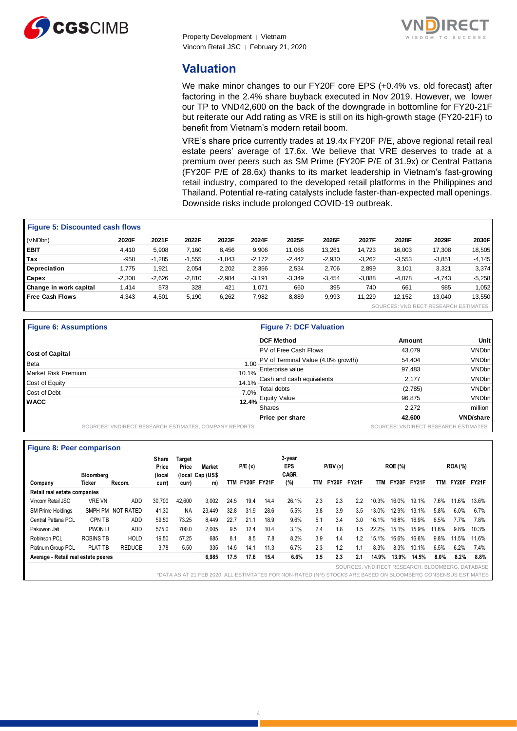



## **Valuation**

We make minor changes to our FY20F core EPS (+0.4% vs. old forecast) after factoring in the 2.4% share buyback executed in Nov 2019. However, we lower our TP to VND42,600 on the back of the downgrade in bottomline for FY20-21F but reiterate our Add rating as VRE is still on its high-growth stage (FY20-21F) to benefit from Vietnam's modern retail boom.

VRE's share price currently trades at 19.4x FY20F P/E, above regional retail real estate peers' average of 17.6x. We believe that VRE deserves to trade at a premium over peers such as SM Prime (FY20F P/E of 31.9x) or Central Pattana (FY20F P/E of 28.6x) thanks to its market leadership in Vietnam's fast-growing retail industry, compared to the developed retail platforms in the Philippines and Thailand. Potential re-rating catalysts include faster-than-expected mall openings. Downside risks include prolonged COVID-19 outbreak.

| <b>Figure 5: Discounted cash flows</b> |          |          |          |          |          |          |          |          |          |                                      |           |  |
|----------------------------------------|----------|----------|----------|----------|----------|----------|----------|----------|----------|--------------------------------------|-----------|--|
| (VNDbn)                                | 2020F    | 2021F    | 2022F    | 2023F    | 2024F    | 2025F    | 2026F    | 2027F    | 2028F    | 2029F                                | 2030F     |  |
| <b>EBIT</b>                            | 4.410    | 5,908    | 7.160    | 8,456    | 9,906    | 11.066   | 13,261   | 14.723   | 16.003   | 17.308                               | 18,505    |  |
| Tax                                    | $-958$   | $-1,285$ | $-1,555$ | $-1.843$ | $-2.172$ | $-2.442$ | $-2,930$ | $-3,262$ | $-3,553$ | $-3,851$                             | $-4, 145$ |  |
| Depreciation                           | 1,775    | 1,921    | 2.054    | 2.202    | 2,356    | 2,534    | 2,706    | 2,899    | 3,101    | 3,321                                | 3,374     |  |
| Capex                                  | $-2,308$ | $-2.626$ | $-2.810$ | $-2.984$ | $-3,191$ | $-3,349$ | $-3.454$ | $-3,888$ | $-4.078$ | $-4.743$                             | $-5,258$  |  |
| Change in work capital                 | 1,414    | 573      | 328      | 421      | 1.071    | 660      | 395      | 740      | 661      | 985                                  | 1.052     |  |
| <b>Free Cash Flows</b>                 | 4.343    | 4,501    | 5,190    | 6,262    | 7,982    | 8,889    | 9,993    | 11.229   | 12.152   | 13.040                               | 13,550    |  |
|                                        |          |          |          |          |          |          |          |          |          | SOURCES: VNDIRECT RESEARCH ESTIMATES |           |  |

| <b>Figure 6: Assumptions</b>                          |       | <b>Figure 7: DCF Valuation</b>     |                                      |                  |
|-------------------------------------------------------|-------|------------------------------------|--------------------------------------|------------------|
|                                                       |       | <b>DCF Method</b>                  | Amount                               | Unit             |
| <b>Cost of Capital</b>                                |       | PV of Free Cash Flows              | 43,079                               | VNDbn            |
| Beta                                                  | 1.00  | PV of Terminal Value (4.0% growth) | 54,404                               | VNDbn            |
| <b>Market Risk Premium</b>                            | 10.1% | Enterprise value                   | 97,483                               | VNDbn            |
|                                                       |       | 14.1% Cash and cash equivalents    | 2,177                                | VNDbn            |
| Cost of Equity                                        | 7.0%  | Total debts                        | (2,785)                              | VNDbn            |
| Cost of Debt                                          |       | 12.4% Equity Value                 | 96,875                               | VNDbn            |
| <b>WACC</b>                                           |       | <b>Shares</b>                      | 2.272                                | million          |
|                                                       |       | Price per share                    | 42,600                               | <b>VND/share</b> |
| SOURCES: VNDIRECT RESEARCH ESTIMATES, COMPANY REPORTS |       |                                    | SOURCES: VNDIRECT RESEARCH ESTIMATES |                  |

|                                     |                  |                   | Share<br>Price | Target<br>Price | <b>Market</b>    |            | P/E(x)      |      | 3-year<br><b>EPS</b> |     | P/BV(x) |                                                 |       | <b>ROE (%)</b> |       |       | <b>ROA</b> (%) |              |
|-------------------------------------|------------------|-------------------|----------------|-----------------|------------------|------------|-------------|------|----------------------|-----|---------|-------------------------------------------------|-------|----------------|-------|-------|----------------|--------------|
|                                     | Bloombera        |                   | (local         |                 | (local Cap (US\$ |            |             |      | <b>CAGR</b>          |     |         |                                                 |       |                |       |       |                |              |
| Company                             | <b>Ticker</b>    | Recom.            | curr)          | curr)           | m)               | <b>TTM</b> | FY20F FY21F |      | (%)                  | TTM | FY20F   | FY21F                                           | TTM   | FY20F          | FY21F | TTM   | FY20F          | <b>FY21F</b> |
| Retail real estate companies        |                  |                   |                |                 |                  |            |             |      |                      |     |         |                                                 |       |                |       |       |                |              |
| Vincom Retail JSC                   | <b>VRE VN</b>    | ADD               | 30,700         | 42.600          | 3.002            | 24.5       | 19.4        | 14.4 | 26.1%                | 2.3 | 2.3     | 2.2                                             | 10.3% | 16.0%          | 19.1% | 7.6%  | 11.6%          | 13.6%        |
| <b>SM Prime Holdings</b>            |                  | SMPH PM NOT RATED | 41.30          | <b>NA</b>       | 23.449           | 32.8       | 31.9        | 28.6 | 5.5%                 | 3.8 | 3.9     | 3.5                                             | 13.0% | 12.9%          | 13.1% | 5.8%  | 6.0%           | $6.7\%$      |
| Central Pattana PCL                 | <b>CPN TB</b>    | ADD               | 59.50          | 73.25           | 8.449            | 22.7       | 21.1        | 18.9 | 9.6%                 | 5.1 | 3.4     | 3.0                                             | 16.1% | 16.8%          | 16.9% | 6.5%  | 7.7%           | 7.8%         |
| Pakuwon Jati                        | PWON IJ          | ADD               | 575.0          | 700.0           | 2.005            | 9.5        | 12.4        | 10.4 | 3.1%                 | 2.4 | 1.8     | .5                                              | 22.2% | 15.1%          | 15.9% | 11.6% | 9.8%           | 10.3%        |
| Robinson PCL                        | <b>ROBINS TB</b> | <b>HOLD</b>       | 19.50          | 57.25           | 685              | 8.1        | 8.5         | 7.8  | 8.2%                 | 3.9 | 1.4     | 1.2                                             | 15.1% | 16.6%          | 16.6% | 9.8%  | 11.5%          | 11.6%        |
| Platinum Group PCL                  | PLAT TB          | <b>REDUCE</b>     | 3.78           | 5.50            | 335              | 14.5       | 14.1        | 11.3 | 6.7%                 | 2.3 | 1.2     |                                                 | 8.3%  | 8.3%           | 10.1% | 6.5%  | 6.2%           | 7.4%         |
| Average - Retail real estate peeres |                  |                   |                |                 | 6,985            | 17.5       | 17.6        | 15.4 | 6.6%                 | 3.5 | 2.3     | 2.1                                             | 14.9% | 13.9%          | 14.5% | 8.0%  | 8.2%           | 8.8%         |
|                                     |                  |                   |                |                 |                  |            |             |      |                      |     |         | SOURCES: VNDIRECT RESEARCH, BLOOMBERG, DATABASE |       |                |       |       |                |              |

\*DATA AS AT 21 FEB 2020, ALL ESTIMTATES FOR NON-RATED (NR) STOCKS ARE BASED ON BLOOMBERG CONSENSUS ESTIMATES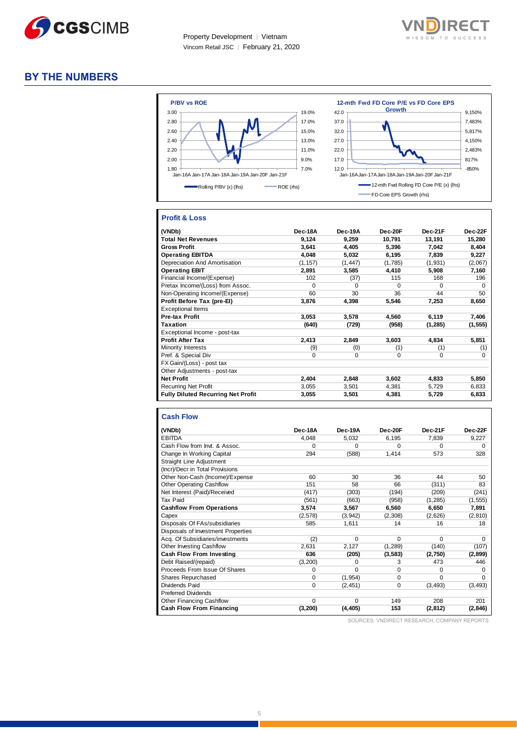



## **BY THE NUMBERS**



#### **Profit & Loss**

| (VNDb)                                    | Dec-18A  | Dec-19A  | Dec-20F     | Dec-21F     | Dec-22F  |
|-------------------------------------------|----------|----------|-------------|-------------|----------|
| <b>Total Net Revenues</b>                 | 9,124    | 9,259    | 10,791      | 13,191      | 15,280   |
| <b>Gross Profit</b>                       | 3,641    | 4,405    | 5,396       | 7,042       | 8,404    |
| <b>Operating EBITDA</b>                   | 4,048    | 5,032    | 6,195       | 7,839       | 9,227    |
| Depreciation And Amortisation             | (1, 157) | (1, 447) | (1,785)     | (1,931)     | (2,067)  |
| <b>Operating EBIT</b>                     | 2,891    | 3,585    | 4,410       | 5,908       | 7,160    |
| Financial Income/(Expense)                | 102      | (37)     | 115         | 168         | 196      |
| Pretax Income/(Loss) from Assoc.          | $\Omega$ | $\Omega$ | $\Omega$    | $\Omega$    | $\Omega$ |
| Non-Operating Income/(Expense)            | 60       | 30       | 36          | 44          | 50       |
| Profit Before Tax (pre-El)                | 3,876    | 4,398    | 5,546       | 7,253       | 8,650    |
| <b>Exceptional Items</b>                  |          |          |             |             |          |
| Pre-tax Profit                            | 3,053    | 3,578    | 4,560       | 6,119       | 7,406    |
| <b>Taxation</b>                           | (640)    | (729)    | (958)       | (1, 285)    | (1, 555) |
| Exceptional Income - post-tax             |          |          |             |             |          |
| <b>Profit After Tax</b>                   | 2,413    | 2,849    | 3,603       | 4,834       | 5,851    |
| Minority Interests                        | (9)      | (0)      | (1)         | (1)         | (1)      |
| Pref. & Special Div                       | $\Omega$ | 0        | $\mathbf 0$ | $\mathbf 0$ | $\Omega$ |
| FX Gain/(Loss) - post tax                 |          |          |             |             |          |
| Other Adjustments - post-tax              |          |          |             |             |          |
| <b>Net Profit</b>                         | 2,404    | 2,848    | 3,602       | 4,833       | 5,850    |
| <b>Recurring Net Profit</b>               | 3,055    | 3,501    | 4,381       | 5,729       | 6,833    |
| <b>Fully Diluted Recurring Net Profit</b> | 3,055    | 3,501    | 4,381       | 5,729       | 6,833    |

| <b>Cash Flow</b>                   |          |          |          |          |          |
|------------------------------------|----------|----------|----------|----------|----------|
| (VNDb)                             | Dec-18A  | Dec-19A  | Dec-20F  | Dec-21F  | Dec-22F  |
| <b>EBITDA</b>                      | 4,048    | 5.032    | 6.195    | 7.839    | 9,227    |
| Cash Flow from Invt. & Assoc.      | $\Omega$ | $\Omega$ | $\Omega$ | $\Omega$ | O        |
| Change In Working Capital          | 294      | (588)    | 1.414    | 573      | 328      |
| Straight Line Adjustment           |          |          |          |          |          |
| (Incr)/Decr in Total Provisions    |          |          |          |          |          |
| Other Non-Cash (Income)/Expense    | 60       | 30       | 36       | 44       | 50       |
| <b>Other Operating Cashflow</b>    | 151      | 58       | 66       | (311)    | 83       |
| Net Interest (Paid)/Received       | (417)    | (303)    | (194)    | (209)    | (241)    |
| <b>Tax Paid</b>                    | (561)    | (663)    | (958)    | (1, 285) | (1, 555) |
| <b>Cashflow From Operations</b>    | 3.574    | 3.567    | 6.560    | 6.650    | 7,891    |
| Capex                              | (2,578)  | (3,942)  | (2,308)  | (2,626)  | (2, 810) |
| Disposals Of FAs/subsidiaries      | 585      | 1,611    | 14       | 16       | 18       |
| Disposals of Investment Properties |          |          |          |          |          |
| Acq. Of Subsidiaries/investments   | (2)      | $\Omega$ | $\Omega$ | $\Omega$ | 0        |
| <b>Other Investing Cashflow</b>    | 2.631    | 2,127    | (1, 289) | (140)    | (107)    |
| Cash Flow From Investing           | 636      | (205)    | (3,583)  | (2,750)  | (2,899)  |
| Debt Raised/(repaid)               | (3,200)  | $\Omega$ | 3        | 473      | 446      |
| Proceeds From Issue Of Shares      | $\Omega$ | $\Omega$ | $\Omega$ | $\Omega$ | O        |
| Shares Repurchased                 | 0        | (1, 954) | 0        | $\Omega$ | 0        |
| Dividends Paid                     | $\Omega$ | (2, 451) | 0        | (3, 493) | (3, 493) |
| <b>Preferred Dividends</b>         |          |          |          |          |          |
| <b>Other Financing Cashflow</b>    | $\Omega$ | $\Omega$ | 149      | 208      | 201      |
| Cash Flow From Financing           | (3, 200) | (4, 405) | 153      | (2, 812) | (2, 846) |

SOURCES: VNDIRECT RESEARCH, COMPANY REPORTS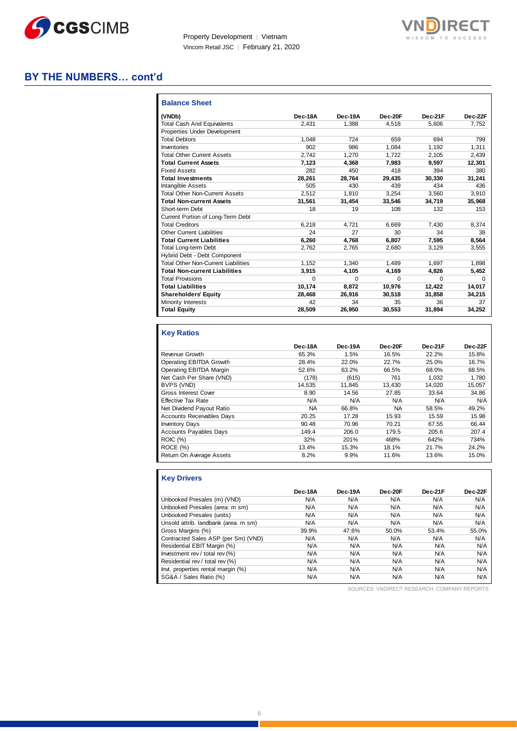



## **BY THE NUMBERS… cont'd**

| <b>Balance Sheet</b>                       |                |          |          |         |         |
|--------------------------------------------|----------------|----------|----------|---------|---------|
| (VNDb)                                     | <b>Dec-18A</b> | Dec-19A  | Dec-20F  | Dec-21F | Dec-22F |
| <b>Total Cash And Equivalents</b>          | 2.431          | 1.388    | 4.518    | 5.606   | 7,752   |
| Properties Under Development               |                |          |          |         |         |
| <b>Total Debtors</b>                       | 1.048          | 724      | 659      | 694     | 799     |
| Inventories                                | 902            | 986      | 1,084    | 1.192   | 1,311   |
| <b>Total Other Current Assets</b>          | 2.742          | 1.270    | 1.722    | 2.105   | 2.439   |
| <b>Total Current Assets</b>                | 7,123          | 4.368    | 7.983    | 9.597   | 12,301  |
| <b>Fixed Assets</b>                        | 282            | 450      | 418      | 394     | 380     |
| <b>Total Investments</b>                   | 28.261         | 28.764   | 29.435   | 30.330  | 31.241  |
| <b>Intangible Assets</b>                   | 505            | 430      | 439      | 434     | 436     |
| <b>Total Other Non-Current Assets</b>      | 2.512          | 1.810    | 3.254    | 3.560   | 3.910   |
| <b>Total Non-current Assets</b>            | 31,561         | 31,454   | 33,546   | 34,719  | 35,968  |
| Short-term Debt                            | 18             | 19       | 108      | 132     | 153     |
| Current Portion of Long-Term Debt          |                |          |          |         |         |
| <b>Total Creditors</b>                     | 6.218          | 4.721    | 6.669    | 7.430   | 8.374   |
| <b>Other Current Liabilities</b>           | 24             | 27       | 30       | 34      | 38      |
| <b>Total Current Liabilities</b>           | 6.260          | 4.768    | 6.807    | 7.595   | 8,564   |
| <b>Total Long-term Debt</b>                | 2.762          | 2.765    | 2.680    | 3.129   | 3.555   |
| Hybrid Debt - Debt Component               |                |          |          |         |         |
| <b>Total Other Non-Current Liabilities</b> | 1.152          | 1.340    | 1.489    | 1.697   | 1.898   |
| <b>Total Non-current Liabilities</b>       | 3.915          | 4.105    | 4.169    | 4.826   | 5,452   |
| <b>Total Provisions</b>                    | O              | $\Omega$ | $\Omega$ | U       | 0       |
| <b>Total Liabilities</b>                   | 10.174         | 8,872    | 10.976   | 12.422  | 14.017  |
| <b>Shareholders' Equity</b>                | 28.468         | 26.916   | 30.518   | 31.858  | 34,215  |
| Minority Interests                         | 42             | 34       | 35       | 36      | 37      |
| <b>Total Equity</b>                        | 28,509         | 26,950   | 30,553   | 31,894  | 34,252  |

#### **Key Ratios**

|                                  | Dec-18A | Dec-19A | Dec-20F   | Dec-21F | Dec-22F |
|----------------------------------|---------|---------|-----------|---------|---------|
| Revenue Growth                   | 65.3%   | 1.5%    | 16.5%     | 22.2%   | 15.8%   |
| Operating EBITDA Growth          | 28.4%   | 22.0%   | 22.7%     | 25.0%   | 16.7%   |
| Operating EBITDA Margin          | 52.6%   | 63.2%   | 66.5%     | 68.0%   | 68.5%   |
| Net Cash Per Share (VND)         | (178)   | (615)   | 761       | 1.032   | 1.780   |
| BVPS (VND)                       | 14.535  | 11.845  | 13.430    | 14.020  | 15.057  |
| <b>Gross Interest Cover</b>      | 8.90    | 14.56   | 27.85     | 33.64   | 34.86   |
| <b>Effective Tax Rate</b>        | N/A     | N/A     | N/A       | N/A     | N/A     |
| Net Dividend Payout Ratio        | NA      | 66.8%   | <b>NA</b> | 58.5%   | 49.2%   |
| <b>Accounts Receivables Days</b> | 20.25   | 17.28   | 15.93     | 15.59   | 15.98   |
| <b>Inventory Days</b>            | 90.48   | 70.96   | 70.21     | 67.55   | 66.44   |
| <b>Accounts Payables Days</b>    | 149.4   | 206.0   | 179.5     | 205.6   | 207.4   |
| <b>ROIC (%)</b>                  | 32%     | 201%    | 468%      | 642%    | 734%    |
| ROCE (%)                         | 13.4%   | 15.3%   | 18.1%     | 21.7%   | 24.2%   |
| Return On Average Assets         | 8.2%    | 9.9%    | 11.6%     | 13.6%   | 15.0%   |

## **Key Drivers**

| Dec-18A | Dec-19A | Dec-20F | Dec-21F | Dec-22F |
|---------|---------|---------|---------|---------|
| N/A     | N/A     | N/A     | N/A     | N/A     |
| N/A     | N/A     | N/A     | N/A     | N/A     |
| N/A     | N/A     | N/A     | N/A     | N/A     |
| N/A     | N/A     | N/A     | N/A     | N/A     |
| 39.9%   | 47.6%   | 50.0%   | 53.4%   | 55.0%   |
| N/A     | N/A     | N/A     | N/A     | N/A     |
| N/A     | N/A     | N/A     | N/A     | N/A     |
| N/A     | N/A     | N/A     | N/A     | N/A     |
| N/A     | N/A     | N/A     | N/A     | N/A     |
| N/A     | N/A     | N/A     | N/A     | N/A     |
| N/A     | N/A     | N/A     | N/A     | N/A     |
|         |         |         |         |         |

SOURCES: VNDIRECT RESEARCH, COMPANY REPORTS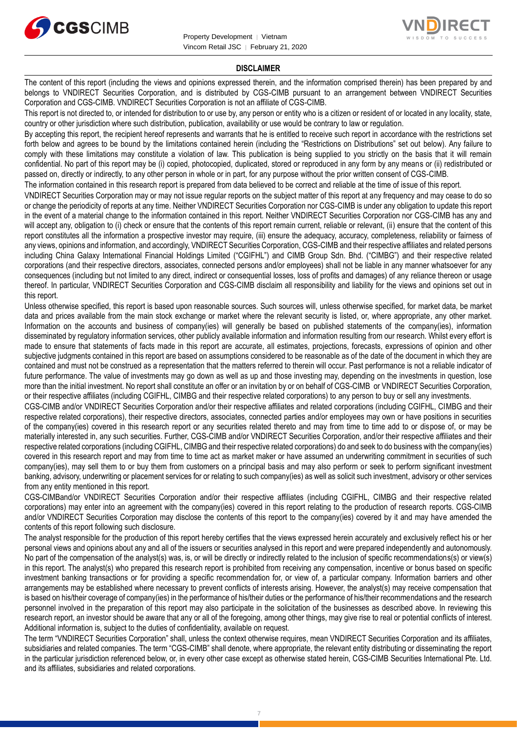



#### **DISCLAIMER**

The content of this report (including the views and opinions expressed therein, and the information comprised therein) has been prepared by and belongs to VNDIRECT Securities Corporation, and is distributed by CGS-CIMB pursuant to an arrangement between VNDIRECT Securities Corporation and CGS-CIMB. VNDIRECT Securities Corporation is not an affiliate of CGS-CIMB.

This report is not directed to, or intended for distribution to or use by, any person or entity who is a citizen or resident of or located in any locality, state, country or other jurisdiction where such distribution, publication, availability or use would be contrary to law or regulation.

By accepting this report, the recipient hereof represents and warrants that he is entitled to receive such report in accordance with the restrictions set forth below and agrees to be bound by the limitations contained herein (including the "Restrictions on Distributions" set out below). Any failure to comply with these limitations may constitute a violation of law. This publication is being supplied to you strictly on the basis that it will remain confidential. No part of this report may be (i) copied, photocopied, duplicated, stored or reproduced in any form by any means or (ii) redistributed or passed on, directly or indirectly, to any other person in whole or in part, for any purpose without the prior written consent of CGS-CIMB.

The information contained in this research report is prepared from data believed to be correct and reliable at the time of issue of this report.

VNDIRECT Securities Corporation may or may not issue regular reports on the subject matter of this report at any frequency and may cease to do so or change the periodicity of reports at any time. Neither VNDIRECT Securities Corporation nor CGS-CIMB is under any obligation to update this report in the event of a material change to the information contained in this report. Neither VNDIRECT Securities Corporation nor CGS-CIMB has any and will accept any, obligation to (i) check or ensure that the contents of this report remain current, reliable or relevant, (ii) ensure that the content of this report constitutes all the information a prospective investor may require, (iii) ensure the adequacy, accuracy, completeness, reliability or fairness of any views, opinions and information, and accordingly, VNDIRECT Securities Corporation, CGS-CIMB and their respective affiliates and related persons including China Galaxy International Financial Holdings Limited ("CGIFHL") and CIMB Group Sdn. Bhd. ("CIMBG") and their respective related corporations (and their respective directors, associates, connected persons and/or employees) shall not be liable in any manner whatsoever for any consequences (including but not limited to any direct, indirect or consequential losses, loss of profits and damages) of any reliance thereon or usage thereof. In particular, VNDIRECT Securities Corporation and CGS-CIMB disclaim all responsibility and liability for the views and opinions set out in this report.

Unless otherwise specified, this report is based upon reasonable sources. Such sources will, unless otherwise specified, for market data, be market data and prices available from the main stock exchange or market where the relevant security is listed, or, where appropriate, any other market. Information on the accounts and business of company(ies) will generally be based on published statements of the company(ies), information disseminated by regulatory information services, other publicly available information and information resulting from our research. Whilst every effort is made to ensure that statements of facts made in this report are accurate, all estimates, projections, forecasts, expressions of opinion and other subjective judgments contained in this report are based on assumptions considered to be reasonable as of the date of the document in which they are contained and must not be construed as a representation that the matters referred to therein will occur. Past performance is not a reliable indicator of future performance. The value of investments may go down as well as up and those investing may, depending on the investments in question, lose more than the initial investment. No report shall constitute an offer or an invitation by or on behalf of CGS-CIMB or VNDIRECT Securities Corporation, or their respective affiliates (including CGIFHL, CIMBG and their respective related corporations) to any person to buy or sell any investments.

CGS-CIMB and/or VNDIRECT Securities Corporation and/or their respective affiliates and related corporations (including CGIFHL, CIMBG and their respective related corporations), their respective directors, associates, connected parties and/or employees may own or have positions in securities of the company(ies) covered in this research report or any securities related thereto and may from time to time add to or dispose of, or may be materially interested in, any such securities. Further, CGS-CIMB and/or VNDIRECT Securities Corporation, and/or their respective affiliates and their respective related corporations (including CGIFHL, CIMBG and their respective related corporations) do and seek to do business with the company(ies) covered in this research report and may from time to time act as market maker or have assumed an underwriting commitment in securities of such company(ies), may sell them to or buy them from customers on a principal basis and may also perform or seek to perform significant investment banking, advisory, underwriting or placement services for or relating to such company(ies) as well as solicit such investment, advisory or other services from any entity mentioned in this report.

CGS-CIMBand/or VNDIRECT Securities Corporation and/or their respective affiliates (including CGIFHL, CIMBG and their respective related corporations) may enter into an agreement with the company(ies) covered in this report relating to the production of research reports. CGS-CIMB and/or VNDIRECT Securities Corporation may disclose the contents of this report to the company(ies) covered by it and may have amended the contents of this report following such disclosure.

The analyst responsible for the production of this report hereby certifies that the views expressed herein accurately and exclusively reflect his or her personal views and opinions about any and all of the issuers or securities analysed in this report and were prepared independently and autonomously. No part of the compensation of the analyst(s) was, is, or will be directly or indirectly related to the inclusion of specific recommendations(s) or view(s) in this report. The analyst(s) who prepared this research report is prohibited from receiving any compensation, incentive or bonus based on specific investment banking transactions or for providing a specific recommendation for, or view of, a particular company. Information barriers and other arrangements may be established where necessary to prevent conflicts of interests arising. However, the analyst(s) may receive compensation that is based on his/their coverage of company(ies) in the performance of his/their duties or the performance of his/their recommendations and the research personnel involved in the preparation of this report may also participate in the solicitation of the businesses as described above. In reviewing this research report, an investor should be aware that any or all of the foregoing, among other things, may give rise to real or potential conflicts of interest. Additional information is, subject to the duties of confidentiality, available on request.

The term "VNDIRECT Securities Corporation" shall, unless the context otherwise requires, mean VNDIRECT Securities Corporation and its affiliates, subsidiaries and related companies. The term "CGS-CIMB" shall denote, where appropriate, the relevant entity distributing or disseminating the report in the particular jurisdiction referenced below, or, in every other case except as otherwise stated herein, CGS-CIMB Securities International Pte. Ltd. and its affiliates, subsidiaries and related corporations.

7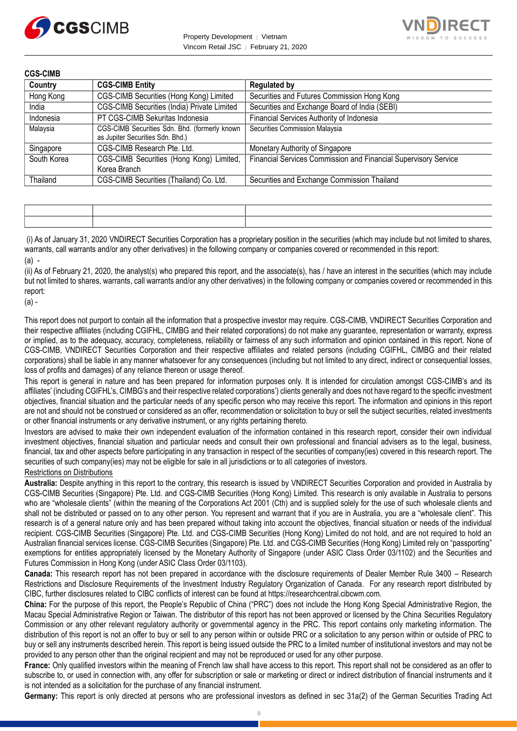



| <b>CGS-CIMB</b> |                                                                                   |                                                                 |
|-----------------|-----------------------------------------------------------------------------------|-----------------------------------------------------------------|
| Country         | <b>CGS-CIMB Entity</b>                                                            | <b>Regulated by</b>                                             |
| Hong Kong       | CGS-CIMB Securities (Hong Kong) Limited                                           | Securities and Futures Commission Hong Kong                     |
| India           | CGS-CIMB Securities (India) Private Limited                                       | Securities and Exchange Board of India (SEBI)                   |
| Indonesia       | PT CGS-CIMB Sekuritas Indonesia                                                   | Financial Services Authority of Indonesia                       |
| Malaysia        | CGS-CIMB Securities Sdn. Bhd. (formerly known<br>as Jupiter Securities Sdn. Bhd.) | Securities Commission Malaysia                                  |
| Singapore       | CGS-CIMB Research Pte. Ltd.                                                       | Monetary Authority of Singapore                                 |
| South Korea     | CGS-CIMB Securities (Hong Kong) Limited,<br>Korea Branch                          | Financial Services Commission and Financial Supervisory Service |
| Thailand        | CGS-CIMB Securities (Thailand) Co. Ltd.                                           | Securities and Exchange Commission Thailand                     |

(i) As of January 31, 2020 VNDIRECT Securities Corporation has a proprietary position in the securities (which may include but not limited to shares, warrants, call warrants and/or any other derivatives) in the following company or companies covered or recommended in this report: (a) -

(ii) As of February 21, 2020, the analyst(s) who prepared this report, and the associate(s), has / have an interest in the securities (which may include but not limited to shares, warrants, call warrants and/or any other derivatives) in the following company or companies covered or recommended in this report:

(a) -

This report does not purport to contain all the information that a prospective investor may require. CGS-CIMB, VNDIRECT Securities Corporation and their respective affiliates (including CGIFHL, CIMBG and their related corporations) do not make any guarantee, representation or warranty, express or implied, as to the adequacy, accuracy, completeness, reliability or fairness of any such information and opinion contained in this report. None of CGS-CIMB, VNDIRECT Securities Corporation and their respective affiliates and related persons (including CGIFHL, CIMBG and their related corporations) shall be liable in any manner whatsoever for any consequences (including but not limited to any direct, indirect or consequential losses, loss of profits and damages) of any reliance thereon or usage thereof.

This report is general in nature and has been prepared for information purposes only. It is intended for circulation amongst CGS-CIMB's and its affiliates' (including CGIFHL's, CIMBG's and their respective related corporations') clients generally and does not have regard to the specific investment objectives, financial situation and the particular needs of any specific person who may receive this report. The information and opinions in this report are not and should not be construed or considered as an offer, recommendation or solicitation to buy or sell the subject securities, related investments or other financial instruments or any derivative instrument, or any rights pertaining thereto.

Investors are advised to make their own independent evaluation of the information contained in this research report, consider their own individual investment objectives, financial situation and particular needs and consult their own professional and financial advisers as to the legal, business, financial, tax and other aspects before participating in any transaction in respect of the securities of company(ies) covered in this research report. The securities of such company(ies) may not be eligible for sale in all jurisdictions or to all categories of investors.

Restrictions on Distributions

**Australia:** Despite anything in this report to the contrary, this research is issued by VNDIRECT Securities Corporation and provided in Australia by CGS-CIMB Securities (Singapore) Pte. Ltd. and CGS-CIMB Securities (Hong Kong) Limited. This research is only available in Australia to persons who are "wholesale clients" (within the meaning of the Corporations Act 2001 (Cth) and is supplied solely for the use of such wholesale clients and shall not be distributed or passed on to any other person. You represent and warrant that if you are in Australia, you are a "wholesale client". This research is of a general nature only and has been prepared without taking into account the objectives, financial situation or needs of the individual recipient. CGS-CIMB Securities (Singapore) Pte. Ltd. and CGS-CIMB Securities (Hong Kong) Limited do not hold, and are not required to hold an Australian financial services license. CGS-CIMB Securities (Singapore) Pte. Ltd. and CGS-CIMB Securities (Hong Kong) Limited rely on "passporting" exemptions for entities appropriately licensed by the Monetary Authority of Singapore (under ASIC Class Order 03/1102) and the Securities and Futures Commission in Hong Kong (under ASIC Class Order 03/1103).

**Canada:** This research report has not been prepared in accordance with the disclosure requirements of Dealer Member Rule 3400 – Research Restrictions and Disclosure Requirements of the Investment Industry Regulatory Organization of Canada. For any research report distributed by CIBC, further disclosures related to CIBC conflicts of interest can be found at https://researchcentral.cibcwm.com.

**China:** For the purpose of this report, the People's Republic of China ("PRC") does not include the Hong Kong Special Administrative Region, the Macau Special Administrative Region or Taiwan. The distributor of this report has not been approved or licensed by the China Securities Regulatory Commission or any other relevant regulatory authority or governmental agency in the PRC. This report contains only marketing information. The distribution of this report is not an offer to buy or sell to any person within or outside PRC or a solicitation to any person within or outside of PRC to buy or sell any instruments described herein. This report is being issued outside the PRC to a limited number of institutional investors and may not be provided to any person other than the original recipient and may not be reproduced or used for any other purpose.

**France:** Only qualified investors within the meaning of French law shall have access to this report. This report shall not be considered as an offer to subscribe to, or used in connection with, any offer for subscription or sale or marketing or direct or indirect distribution of financial instruments and it is not intended as a solicitation for the purchase of any financial instrument.

**Germany:** This report is only directed at persons who are professional investors as defined in sec 31a(2) of the German Securities Trading Act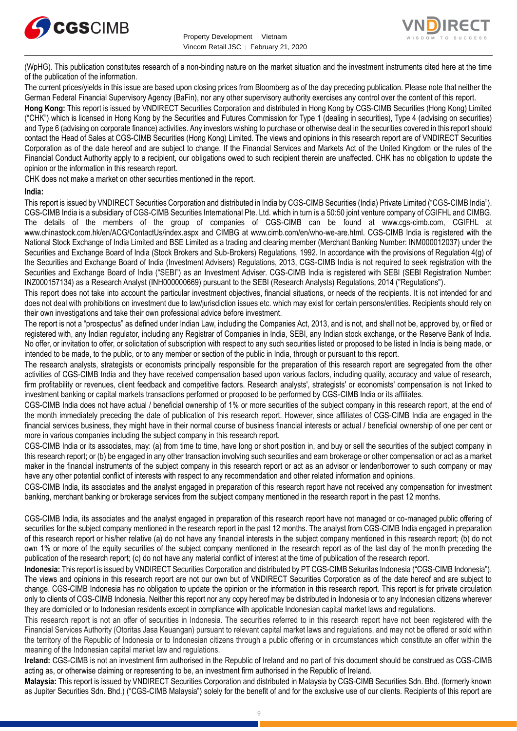



(WpHG). This publication constitutes research of a non-binding nature on the market situation and the investment instruments cited here at the time of the publication of the information.

The current prices/yields in this issue are based upon closing prices from Bloomberg as of the day preceding publication. Please note that neither the German Federal Financial Supervisory Agency (BaFin), nor any other supervisory authority exercises any control over the content of this report.

**Hong Kong:** This report is issued by VNDIRECT Securities Corporation and distributed in Hong Kong by CGS-CIMB Securities (Hong Kong) Limited ("CHK") which is licensed in Hong Kong by the Securities and Futures Commission for Type 1 (dealing in securities), Type 4 (advising on securities) and Type 6 (advising on corporate finance) activities. Any investors wishing to purchase or otherwise deal in the securities covered in this report should contact the Head of Sales at CGS-CIMB Securities (Hong Kong) Limited. The views and opinions in this research report are of VNDIRECT Securities Corporation as of the date hereof and are subject to change. If the Financial Services and Markets Act of the United Kingdom or the rules of the Financial Conduct Authority apply to a recipient, our obligations owed to such recipient therein are unaffected. CHK has no obligation to update the opinion or the information in this research report.

CHK does not make a market on other securities mentioned in the report.

#### **India:**

This report is issued by VNDIRECT Securities Corporation and distributed in India by CGS-CIMB Securities (India) Private Limited ("CGS-CIMB India"). CGS-CIMB India is a subsidiary of CGS-CIMB Securities International Pte. Ltd. which in turn is a 50:50 joint venture company of CGIFHL and CIMBG. The details of the members of the group of companies of CGS-CIMB can be found at www.cgs-cimb.com, CGIFHL at www.chinastock.com.hk/en/ACG/ContactUs/index.aspx and CIMBG at www.cimb.com/en/who-we-are.html. CGS-CIMB India is registered with the National Stock Exchange of India Limited and BSE Limited as a trading and clearing member (Merchant Banking Number: INM000012037) under the Securities and Exchange Board of India (Stock Brokers and Sub-Brokers) Regulations, 1992. In accordance with the provisions of Regulation 4(g) of the Securities and Exchange Board of India (Investment Advisers) Regulations, 2013, CGS-CIMB India is not required to seek registration with the Securities and Exchange Board of India ("SEBI") as an Investment Adviser. CGS-CIMB India is registered with SEBI (SEBI Registration Number: INZ000157134) as a Research Analyst (INH000000669) pursuant to the SEBI (Research Analysts) Regulations, 2014 ("Regulations").

This report does not take into account the particular investment objectives, financial situations, or needs of the recipients. It is not intended for and does not deal with prohibitions on investment due to law/jurisdiction issues etc. which may exist for certain persons/entities. Recipients should rely on their own investigations and take their own professional advice before investment.

The report is not a "prospectus" as defined under Indian Law, including the Companies Act, 2013, and is not, and shall not be, approved by, or filed or registered with, any Indian regulator, including any Registrar of Companies in India, SEBI, any Indian stock exchange, or the Reserve Bank of India. No offer, or invitation to offer, or solicitation of subscription with respect to any such securities listed or proposed to be listed in India is being made, or intended to be made, to the public, or to any member or section of the public in India, through or pursuant to this report.

The research analysts, strategists or economists principally responsible for the preparation of this research report are segregated from the other activities of CGS-CIMB India and they have received compensation based upon various factors, including quality, accuracy and value of research, firm profitability or revenues, client feedback and competitive factors. Research analysts', strategists' or economists' compensation is not linked to investment banking or capital markets transactions performed or proposed to be performed by CGS-CIMB India or its affiliates.

CGS-CIMB India does not have actual / beneficial ownership of 1% or more securities of the subject company in this research report, at the end of the month immediately preceding the date of publication of this research report. However, since affiliates of CGS-CIMB India are engaged in the financial services business, they might have in their normal course of business financial interests or actual / beneficial ownership of one per cent or more in various companies including the subject company in this research report.

CGS-CIMB India or its associates, may: (a) from time to time, have long or short position in, and buy or sell the securities of the subject company in this research report; or (b) be engaged in any other transaction involving such securities and earn brokerage or other compensation or act as a market maker in the financial instruments of the subject company in this research report or act as an advisor or lender/borrower to such company or may have any other potential conflict of interests with respect to any recommendation and other related information and opinions.

CGS-CIMB India, its associates and the analyst engaged in preparation of this research report have not received any compensation for investment banking, merchant banking or brokerage services from the subject company mentioned in the research report in the past 12 months.

CGS-CIMB India, its associates and the analyst engaged in preparation of this research report have not managed or co-managed public offering of securities for the subject company mentioned in the research report in the past 12 months. The analyst from CGS-CIMB India engaged in preparation of this research report or his/her relative (a) do not have any financial interests in the subject company mentioned in this research report; (b) do not own 1% or more of the equity securities of the subject company mentioned in the research report as of the last day of the month preceding the publication of the research report; (c) do not have any material conflict of interest at the time of publication of the research report.

**Indonesia:** This report is issued by VNDIRECT Securities Corporation and distributed by PT CGS-CIMB Sekuritas Indonesia ("CGS-CIMB Indonesia"). The views and opinions in this research report are not our own but of VNDIRECT Securities Corporation as of the date hereof and are subject to change. CGS-CIMB Indonesia has no obligation to update the opinion or the information in this research report. This report is for private circulation only to clients of CGS-CIMB Indonesia. Neither this report nor any copy hereof may be distributed in Indonesia or to any Indonesian citizens wherever they are domiciled or to Indonesian residents except in compliance with applicable Indonesian capital market laws and regulations.

This research report is not an offer of securities in Indonesia. The securities referred to in this research report have not been registered with the Financial Services Authority (Otoritas Jasa Keuangan) pursuant to relevant capital market laws and regulations, and may not be offered or sold within the territory of the Republic of Indonesia or to Indonesian citizens through a public offering or in circumstances which constitute an offer within the meaning of the Indonesian capital market law and regulations.

**Ireland:** CGS-CIMB is not an investment firm authorised in the Republic of Ireland and no part of this document should be construed as CGS-CIMB acting as, or otherwise claiming or representing to be, an investment firm authorised in the Republic of Ireland.

**Malaysia:** This report is issued by VNDIRECT Securities Corporation and distributed in Malaysia by CGS-CIMB Securities Sdn. Bhd. (formerly known as Jupiter Securities Sdn. Bhd.) ("CGS-CIMB Malaysia") solely for the benefit of and for the exclusive use of our clients. Recipients of this report are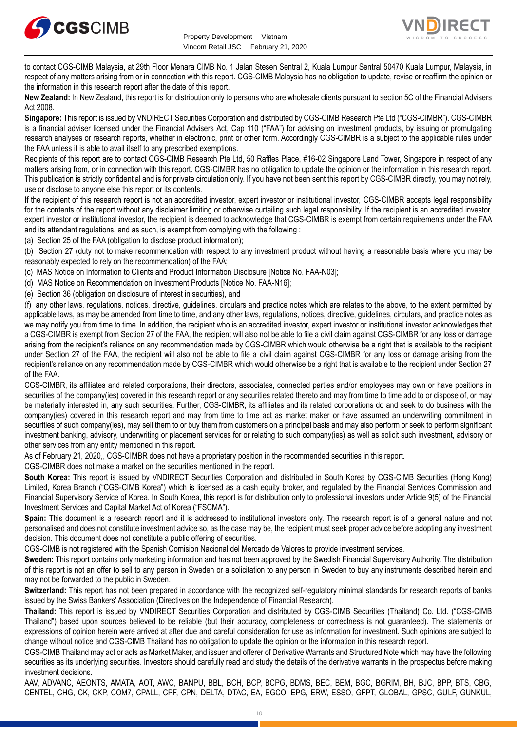



to contact CGS-CIMB Malaysia, at 29th Floor Menara CIMB No. 1 Jalan Stesen Sentral 2, Kuala Lumpur Sentral 50470 Kuala Lumpur, Malaysia, in respect of any matters arising from or in connection with this report. CGS-CIMB Malaysia has no obligation to update, revise or reaffirm the opinion or the information in this research report after the date of this report.

**New Zealand:** In New Zealand, this report is for distribution only to persons who are wholesale clients pursuant to section 5C of the Financial Advisers Act 2008.

**Singapore:** This report is issued by VNDIRECT Securities Corporation and distributed by CGS-CIMB Research Pte Ltd ("CGS-CIMBR"). CGS-CIMBR is a financial adviser licensed under the Financial Advisers Act, Cap 110 ("FAA") for advising on investment products, by issuing or promulgating research analyses or research reports, whether in electronic, print or other form. Accordingly CGS-CIMBR is a subject to the applicable rules under the FAA unless it is able to avail itself to any prescribed exemptions.

Recipients of this report are to contact CGS-CIMB Research Pte Ltd, 50 Raffles Place, #16-02 Singapore Land Tower, Singapore in respect of any matters arising from, or in connection with this report. CGS-CIMBR has no obligation to update the opinion or the information in this research report. This publication is strictly confidential and is for private circulation only. If you have not been sent this report by CGS-CIMBR directly, you may not rely, use or disclose to anyone else this report or its contents.

If the recipient of this research report is not an accredited investor, expert investor or institutional investor, CGS-CIMBR accepts legal responsibility for the contents of the report without any disclaimer limiting or otherwise curtailing such legal responsibility. If the recipient is an accredited investor, expert investor or institutional investor, the recipient is deemed to acknowledge that CGS-CIMBR is exempt from certain requirements under the FAA and its attendant regulations, and as such, is exempt from complying with the following :

(a) Section 25 of the FAA (obligation to disclose product information);

(b) Section 27 (duty not to make recommendation with respect to any investment product without having a reasonable basis where you may be reasonably expected to rely on the recommendation) of the FAA;

(c) MAS Notice on Information to Clients and Product Information Disclosure [Notice No. FAA-N03];

(d) MAS Notice on Recommendation on Investment Products [Notice No. FAA-N16];

(e) Section 36 (obligation on disclosure of interest in securities), and

(f) any other laws, regulations, notices, directive, guidelines, circulars and practice notes which are relates to the above, to the extent permitted by applicable laws, as may be amended from time to time, and any other laws, regulations, notices, directive, guidelines, circulars, and practice notes as we may notify you from time to time. In addition, the recipient who is an accredited investor, expert investor or institutional investor acknowledges that a CGS-CIMBR is exempt from Section 27 of the FAA, the recipient will also not be able to file a civil claim against CGS-CIMBR for any loss or damage arising from the recipient's reliance on any recommendation made by CGS-CIMBR which would otherwise be a right that is available to the recipient under Section 27 of the FAA, the recipient will also not be able to file a civil claim against CGS-CIMBR for any loss or damage arising from the recipient's reliance on any recommendation made by CGS-CIMBR which would otherwise be a right that is available to the recipient under Section 27 of the FAA.

CGS-CIMBR, its affiliates and related corporations, their directors, associates, connected parties and/or employees may own or have positions in securities of the company(ies) covered in this research report or any securities related thereto and may from time to time add to or dispose of, or may be materially interested in, any such securities. Further, CGS-CIMBR, its affiliates and its related corporations do and seek to do business with the company(ies) covered in this research report and may from time to time act as market maker or have assumed an underwriting commitment in securities of such company(ies), may sell them to or buy them from customers on a principal basis and may also perform or seek to perform significant investment banking, advisory, underwriting or placement services for or relating to such company(ies) as well as solicit such investment, advisory or other services from any entity mentioned in this report.

As of February 21, 2020,, CGS-CIMBR does not have a proprietary position in the recommended securities in this report.

CGS-CIMBR does not make a market on the securities mentioned in the report.

**South Korea:** This report is issued by VNDIRECT Securities Corporation and distributed in South Korea by CGS-CIMB Securities (Hong Kong) Limited, Korea Branch ("CGS-CIMB Korea") which is licensed as a cash equity broker, and regulated by the Financial Services Commission and Financial Supervisory Service of Korea. In South Korea, this report is for distribution only to professional investors under Article 9(5) of the Financial Investment Services and Capital Market Act of Korea ("FSCMA").

**Spain:** This document is a research report and it is addressed to institutional investors only. The research report is of a general nature and not personalised and does not constitute investment advice so, as the case may be, the recipient must seek proper advice before adopting any investment decision. This document does not constitute a public offering of securities.

CGS-CIMB is not registered with the Spanish Comision Nacional del Mercado de Valores to provide investment services.

**Sweden:** This report contains only marketing information and has not been approved by the Swedish Financial Supervisory Authority. The distribution of this report is not an offer to sell to any person in Sweden or a solicitation to any person in Sweden to buy any instruments described herein and may not be forwarded to the public in Sweden.

**Switzerland:** This report has not been prepared in accordance with the recognized self-regulatory minimal standards for research reports of banks issued by the Swiss Bankers' Association (Directives on the Independence of Financial Research).

**Thailand:** This report is issued by VNDIRECT Securities Corporation and distributed by CGS-CIMB Securities (Thailand) Co. Ltd. ("CGS-CIMB Thailand") based upon sources believed to be reliable (but their accuracy, completeness or correctness is not guaranteed). The statements or expressions of opinion herein were arrived at after due and careful consideration for use as information for investment. Such opinions are subject to change without notice and CGS-CIMB Thailand has no obligation to update the opinion or the information in this research report.

CGS-CIMB Thailand may act or acts as Market Maker, and issuer and offerer of Derivative Warrants and Structured Note which may have the following securities as its underlying securities. Investors should carefully read and study the details of the derivative warrants in the prospectus before making investment decisions.

AAV, ADVANC, AEONTS, AMATA, AOT, AWC, BANPU, BBL, BCH, BCP, BCPG, BDMS, BEC, BEM, BGC, BGRIM, BH, BJC, BPP, BTS, CBG, CENTEL, CHG, CK, CKP, COM7, CPALL, CPF, CPN, DELTA, DTAC, EA, EGCO, EPG, ERW, ESSO, GFPT, GLOBAL, GPSC, GULF, GUNKUL,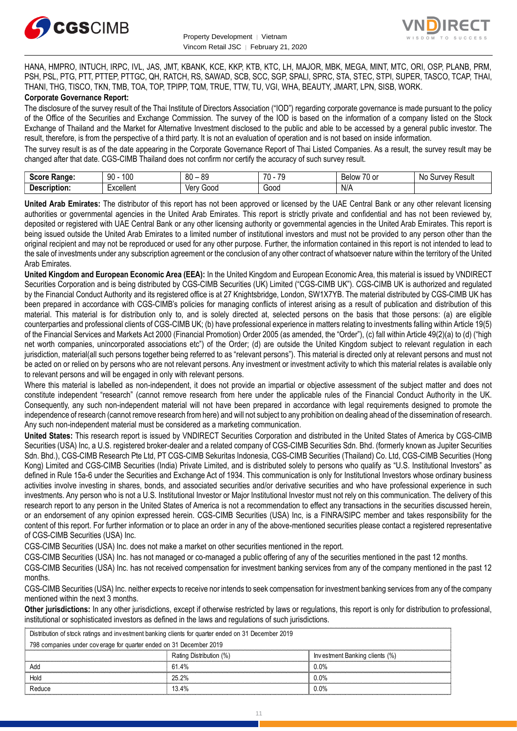



HANA, HMPRO, INTUCH, IRPC, IVL, JAS, JMT, KBANK, KCE, KKP, KTB, KTC, LH, MAJOR, MBK, MEGA, MINT, MTC, ORI, OSP, PLANB, PRM, PSH, PSL, PTG, PTT, PTTEP, PTTGC, QH, RATCH, RS, SAWAD, SCB, SCC, SGP, SPALI, SPRC, STA, STEC, STPI, SUPER, TASCO, TCAP, THAI, THANI, THG, TISCO, TKN, TMB, TOA, TOP, TPIPP, TQM, TRUE, TTW, TU, VGI, WHA, BEAUTY, JMART, LPN, SISB, WORK. **Corporate Governance Report:**

The disclosure of the survey result of the Thai Institute of Directors Association ("IOD") regarding corporate governance is made pursuant to the policy of the Office of the Securities and Exchange Commission. The survey of the IOD is based on the information of a company listed on the Stock Exchange of Thailand and the Market for Alternative Investment disclosed to the public and able to be accessed by a general public investor. The result, therefore, is from the perspective of a third party. It is not an evaluation of operation and is not based on inside information.

The survey result is as of the date appearing in the Corporate Governance Report of Thai Listed Companies. As a result, the survey result may be changed after that date. CGS-CIMB Thailand does not confirm nor certify the accuracy of such survey result.

| <b>Score</b><br><b>Range:</b> | 100<br>90 | $\circ$<br>RΓ<br>೦೮<br>-<br>υv | $\overline{\phantom{a}}$<br>70<br>. .<br>. . | $\overline{\phantom{a}}$<br><b>Dalou</b><br>$\sim$<br><b>DEIUW</b><br>1 U<br>U. | Result<br>Νc<br>∵urvev⊔ں |
|-------------------------------|-----------|--------------------------------|----------------------------------------------|---------------------------------------------------------------------------------|--------------------------|
| <b>Description:</b>           | :xcellent | G000<br>Verv                   | 000ئ                                         | N/A                                                                             |                          |

**United Arab Emirates:** The distributor of this report has not been approved or licensed by the UAE Central Bank or any other relevant licensing authorities or governmental agencies in the United Arab Emirates. This report is strictly private and confidential and has not been reviewed by, deposited or registered with UAE Central Bank or any other licensing authority or governmental agencies in the United Arab Emirates. This report is being issued outside the United Arab Emirates to a limited number of institutional investors and must not be provided to any person other than the original recipient and may not be reproduced or used for any other purpose. Further, the information contained in this report is not intended to lead to the sale of investments under any subscription agreement or the conclusion of any other contract of whatsoever nature within the territory of the United Arab Emirates.

**United Kingdom and European Economic Area (EEA):** In the United Kingdom and European Economic Area, this material is issued by VNDIRECT Securities Corporation and is being distributed by CGS-CIMB Securities (UK) Limited ("CGS-CIMB UK"). CGS-CIMB UK is authorized and regulated by the Financial Conduct Authority and its registered office is at 27 Knightsbridge, London, SW1X7YB. The material distributed by CGS-CIMB UK has been prepared in accordance with CGS-CIMB's policies for managing conflicts of interest arising as a result of publication and distribution of this material. This material is for distribution only to, and is solely directed at, selected persons on the basis that those persons: (a) are eligible counterparties and professional clients of CGS-CIMB UK; (b) have professional experience in matters relating to investments falling within Article 19(5) of the Financial Services and Markets Act 2000 (Financial Promotion) Order 2005 (as amended, the "Order"), (c) fall within Article 49(2)(a) to (d) ("high net worth companies, unincorporated associations etc") of the Order; (d) are outside the United Kingdom subject to relevant regulation in each jurisdiction, material(all such persons together being referred to as "relevant persons"). This material is directed only at relevant persons and must not be acted on or relied on by persons who are not relevant persons. Any investment or investment activity to which this material relates is available only to relevant persons and will be engaged in only with relevant persons.

Where this material is labelled as non-independent, it does not provide an impartial or objective assessment of the subject matter and does not constitute independent "research" (cannot remove research from here under the applicable rules of the Financial Conduct Authority in the UK. Consequently, any such non-independent material will not have been prepared in accordance with legal requirements designed to promote the independence of research (cannot remove research from here) and will not subject to any prohibition on dealing ahead of the dissemination of research. Any such non-independent material must be considered as a marketing communication.

**United States:** This research report is issued by VNDIRECT Securities Corporation and distributed in the United States of America by CGS-CIMB Securities (USA) Inc, a U.S. registered broker-dealer and a related company of CGS-CIMB Securities Sdn. Bhd. (formerly known as Jupiter Securities Sdn. Bhd.), CGS-CIMB Research Pte Ltd, PT CGS-CIMB Sekuritas Indonesia, CGS-CIMB Securities (Thailand) Co. Ltd, CGS-CIMB Securities (Hong Kong) Limited and CGS-CIMB Securities (India) Private Limited, and is distributed solely to persons who qualify as "U.S. Institutional Investors" as defined in Rule 15a-6 under the Securities and Exchange Act of 1934. This communication is only for Institutional Investors whose ordinary business activities involve investing in shares, bonds, and associated securities and/or derivative securities and who have professional experience in such investments. Any person who is not a U.S. Institutional Investor or Major Institutional Investor must not rely on this communication. The delivery of this research report to any person in the United States of America is not a recommendation to effect any transactions in the securities discussed herein, or an endorsement of any opinion expressed herein. CGS-CIMB Securities (USA) Inc, is a FINRA/SIPC member and takes responsibility for the content of this report. For further information or to place an order in any of the above-mentioned securities please contact a registered representative of CGS-CIMB Securities (USA) Inc.

CGS-CIMB Securities (USA) Inc. does not make a market on other securities mentioned in the report.

CGS-CIMB Securities (USA) Inc. has not managed or co-managed a public offering of any of the securities mentioned in the past 12 months.

CGS-CIMB Securities (USA) Inc. has not received compensation for investment banking services from any of the company mentioned in the past 12 months.

CGS-CIMB Securities (USA) Inc. neither expects to receive nor intends to seek compensation for investment banking services from any of the company mentioned within the next 3 months.

**Other jurisdictions:** In any other jurisdictions, except if otherwise restricted by laws or regulations, this report is only for distribution to professional, institutional or sophisticated investors as defined in the laws and regulations of such jurisdictions. entioned within the next 3 months.<br> **ther jurisdictions:** In any other jurisdictions, except if otherwise restricted by laws<br>
stitutional or sophisticated investors as defined in the laws and regulations of such j<br>
Distrib

| <b>Other jurisdictions:</b> In any other jurisdictions, except if otherwise restricted by laws or regulations, this report is only for distribution to p<br>institutional or sophisticated investors as defined in the laws and regulations of such jurisdictions. |                         |                                |  |  |
|--------------------------------------------------------------------------------------------------------------------------------------------------------------------------------------------------------------------------------------------------------------------|-------------------------|--------------------------------|--|--|
| Distribution of stock ratings and investment banking clients for quarter ended on 31 December 2019                                                                                                                                                                 |                         |                                |  |  |
| 798 companies under coverage for quarter ended on 31 December 2019                                                                                                                                                                                                 |                         |                                |  |  |
|                                                                                                                                                                                                                                                                    | Rating Distribution (%) | Investment Banking clients (%) |  |  |
| hhA                                                                                                                                                                                                                                                                | 61.4%                   | በ በ%                           |  |  |
| Hold                                                                                                                                                                                                                                                               | 25.2%                   | $0.0\%$                        |  |  |
| Reduce                                                                                                                                                                                                                                                             | 13.4%                   | $0.0\%$                        |  |  |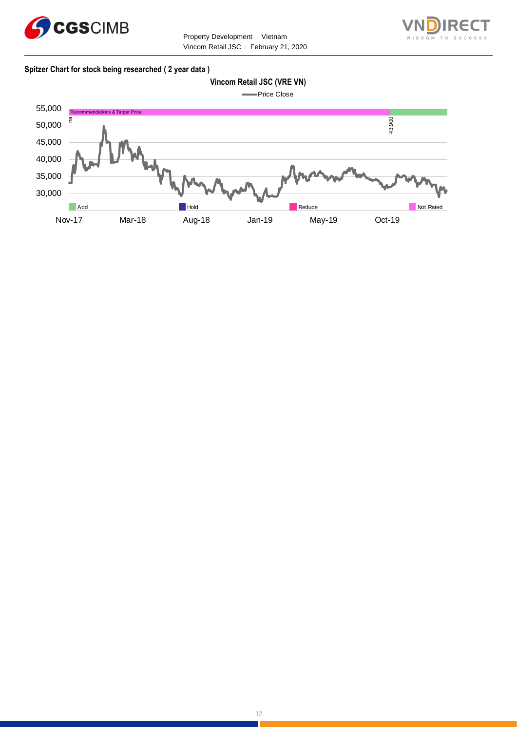



#### **Spitzer Chart for stock being researched ( 2 year data )**

## **Vincom Retail JSC (VRE VN)**



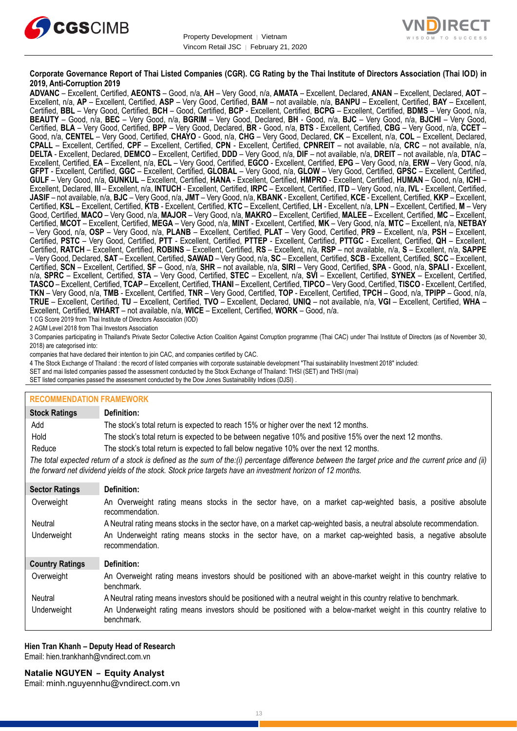



#### **Corporate Governance Report of Thai Listed Companies (CGR). CG Rating by the Thai Institute of Directors Association (Thai IOD) in 2019, Anti-Corruption 2019**

**ADVANC** – Excellent, Certified, **AEONTS** – Good, n/a, **AH** – Very Good, n/a, **AMATA** – Excellent, Declared, **ANAN** – Excellent, Declared, **AOT** – Excellent, n/a, **AP** – Excellent, Certified, **ASP** – Very Good, Certified, **BAM** – not available, n/a, **BANPU** – Excellent, Certified, **BAY** – Excellent, Certified, **BBL** – Very Good, Certified, **BCH** – Good, Certified, **BCP** - Excellent, Certified, **BCPG** – Excellent, Certified, **BDMS** – Very Good, n/a, **BEAUTY** – Good, n/a, **BEC** – Very Good, n/a, **BGRIM** – Very Good, Declared, **BH** - Good, n/a, **BJC** – Very Good, n/a, **BJCHI** – Very Good, Certified, **BLA** – Very Good, Certified, **BPP** – Very Good, Declared, **BR** - Good, n/a, **BTS** - Excellent, Certified, **CBG** – Very Good, n/a, **CCET** – Good, n/a, **CENTEL** – Very Good, Certified, **CHAYO** - Good, n/a, **CHG** – Very Good, Declared, **CK** – Excellent, n/a, **COL** – Excellent, Declared, **CPALL** – Excellent, Certified, **CPF** – Excellent, Certified, **CPN** - Excellent, Certified, **CPNREIT** – not available, n/a, **CRC** – not available, n/a, **DELTA** - Excellent, Declared, **DEMCO** – Excellent, Certified, **DDD** – Very Good, n/a, **DIF** – not available, n/a, **DREIT** – not available, n/a, **DTAC** – Excellent, Certified, **EA** – Excellent, n/a, **ECL** – Very Good, Certified, **EGCO** - Excellent, Certified, **EPG** – Very Good, n/a, **ERW** – Very Good, n/a, **GFPT** - Excellent, Certified, **GGC** – Excellent, Certified, **GLOBAL** – Very Good, n/a, **GLOW** – Very Good, Certified, **GPSC** – Excellent, Certified, **GULF** – Very Good, n/a, **GUNKUL** – Excellent, Certified, **HANA** - Excellent, Certified, **HMPRO** - Excellent, Certified, **HUMAN** – Good, n/a, **ICHI** – Excellent, Declared, **III** – Excellent, n/a, **INTUCH** - Excellent, Certified, **IRPC** – Excellent, Certified, **ITD** – Very Good, n/a, **IVL** - Excellent, Certified, **JASIF** – not available, n/a, **BJC** – Very Good, n/a, **JMT** – Very Good, n/a, **KBANK** - Excellent, Certified, **KCE** - Excellent, Certified, **KKP** – Excellent, Certified, **KSL** – Excellent, Certified, **KTB** - Excellent, Certified, **KTC** – Excellent, Certified, **LH** - Excellent, n/a, **LPN** – Excellent, Certified, **M** – Very Good, Certified, **MACO** – Very Good, n/a, **MAJOR** – Very Good, n/a, **MAKRO** – Excellent, Certified, **MALEE** – Excellent, Certified, **MC** – Excellent, Certified, **MCOT** – Excellent, Certified, **MEGA** – Very Good, n/a, **MINT** - Excellent, Certified, **MK** – Very Good, n/a, **MTC** – Excellent, n/a, **NETBAY** – Very Good, n/a, **OSP** – Very Good, n/a, **PLANB** – Excellent, Certified, **PLAT** – Very Good, Certified, **PR9** – Excellent, n/a, **PSH** – Excellent, Certified, **PSTC** – Very Good, Certified, **PTT** - Excellent, Certified, **PTTEP** - Excellent, Certified, **PTTGC** - Excellent, Certified, **QH** – Excellent, Certified, **RATCH** – Excellent, Certified, **ROBINS** – Excellent, Certified, **RS** – Excellent, n/a, **RSP** – not available, n/a, **S** – Excellent, n/a, **SAPPE** – Very Good, Declared, **SAT** – Excellent, Certified, **SAWAD** – Very Good, n/a, **SC** – Excellent, Certified, **SCB** - Excellent, Certified, **SCC** – Excellent, Certified, **SCN** – Excellent, Certified, **SF** – Good, n/a, **SHR** – not available, n/a, **SIRI** – Very Good, Certified, **SPA** - Good, n/a, **SPALI** - Excellent, n/a, **SPRC** – Excellent, Certified, **STA** – Very Good, Certified, **STEC** – Excellent, n/a, **SVI** – Excellent, Certified, **SYNEX** – Excellent, Certified, **TASCO** – Excellent, Certified, **TCAP** – Excellent, Certified, **THANI** – Excellent, Certified, **TIPCO** – Very Good, Certified, **TISCO** - Excellent, Certified, **TKN** – Very Good, n/a, **TMB** - Excellent, Certified, **TNR** – Very Good, Certified, **TOP** - Excellent, Certified, **TPCH** – Good, n/a, **TPIPP** – Good, n/a, **TRUE** – Excellent, Certified, **TU** – Excellent, Certified, **TVO** – Excellent, Declared, **UNIQ** – not available, n/a, **VGI** – Excellent, Certified, **WHA** – Excellent, Certified, **WHART** – not available, n/a, **WICE** – Excellent, Certified, **WORK** – Good, n/a.

1 CG Score 2019 from Thai Institute of Directors Association (IOD)

2 AGM Level 2018 from Thai Investors Association

3 Companies participating in Thailand's Private Sector Collective Action Coalition Against Corruption programme (Thai CAC) under Thai Institute of Directors (as of November 30, 2018) are categorised into:

companies that have declared their intention to join CAC, and companies certified by CAC.

- 4 [The Stock Exchange of Thailand : the record of listed companies with corporate sustainable development "Thai sustainability Investment 2018" included:](http://www.set.or.th/sustainable_dev/en/sr/sri/tsi_p1.html)
- SET and mai listed companies passed the assessment conducted by the Stock Exchange of Thailand: THSI (SET) and THSI (mai)

SET listed companies passed the assessment conducted by the Dow Jones Sustainability Indices (DJSI) .

| <b>RECOMMENDATION FRAMEWORK</b>                                                                                                                                                                                                                                   |                                                                                                                                 |  |  |
|-------------------------------------------------------------------------------------------------------------------------------------------------------------------------------------------------------------------------------------------------------------------|---------------------------------------------------------------------------------------------------------------------------------|--|--|
| <b>Stock Ratings</b>                                                                                                                                                                                                                                              | Definition:                                                                                                                     |  |  |
| Add                                                                                                                                                                                                                                                               | The stock's total return is expected to reach 15% or higher over the next 12 months.                                            |  |  |
| Hold                                                                                                                                                                                                                                                              | The stock's total return is expected to be between negative 10% and positive 15% over the next 12 months.                       |  |  |
| Reduce                                                                                                                                                                                                                                                            | The stock's total return is expected to fall below negative 10% over the next 12 months.                                        |  |  |
| The total expected return of a stock is defined as the sum of the:(i) percentage difference between the target price and the current price and (ii)<br>the forward net dividend yields of the stock. Stock price targets have an investment horizon of 12 months. |                                                                                                                                 |  |  |
| <b>Sector Ratings</b>                                                                                                                                                                                                                                             | Definition:                                                                                                                     |  |  |
| Overweight                                                                                                                                                                                                                                                        | An Overweight rating means stocks in the sector have, on a market cap-weighted basis, a positive absolute<br>recommendation.    |  |  |
| Neutral                                                                                                                                                                                                                                                           | A Neutral rating means stocks in the sector have, on a market cap-weighted basis, a neutral absolute recommendation.            |  |  |
| Underweight                                                                                                                                                                                                                                                       | An Underweight rating means stocks in the sector have, on a market cap-weighted basis, a negative absolute<br>recommendation.   |  |  |
| <b>Country Ratings</b>                                                                                                                                                                                                                                            | Definition:                                                                                                                     |  |  |
| Overweight                                                                                                                                                                                                                                                        | An Overweight rating means investors should be positioned with an above-market weight in this country relative to<br>benchmark. |  |  |
| Neutral                                                                                                                                                                                                                                                           | A Neutral rating means investors should be positioned with a neutral weight in this country relative to benchmark.              |  |  |
| Underweight                                                                                                                                                                                                                                                       | An Underweight rating means investors should be positioned with a below-market weight in this country relative to<br>benchmark. |  |  |

## **Hien Tran Khanh – Deputy Head of Research**

Email: [hien.trankhanh@vndirect.com.vn](mailto:hien.trankhanh@vndirect.com.vn)

**Natalie NGUYEN – Equity Analyst** Email: [minh.nguyennhu@vndirect.com.vn](mailto:minh.nguyennhu@vndirect.com.vn)